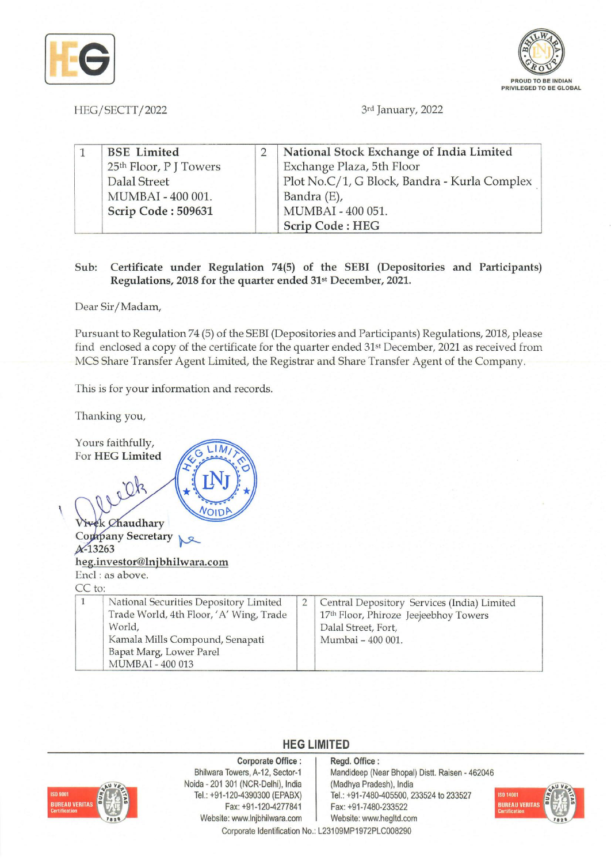



HEG/SECTT/2022 3rd January, 2022

| <b>BSE</b> Limited     | National Stock Exchange of India Limited     |
|------------------------|----------------------------------------------|
| 25th Floor, P J Towers | Exchange Plaza, 5th Floor                    |
| <b>Dalal Street</b>    | Plot No.C/1, G Block, Bandra - Kurla Complex |
| MUMBAI - 400 001.      | Bandra (E),                                  |
| Scrip Code: 509631     | MUMBAI - 400 051.                            |
|                        | Scrip Code: HEG                              |

## Sub: Certificate under Regulation 74(5) of the SEBI (Depositories and Participants) Regulations, 2018 for the quarter ended 31<sup>st</sup> December, 2021.

Dear Sir/Madam,

Pursuant to Regulation 74 (5) of the SEB! (Depositories and Participants) Regulations, 2018, please find enclosed a copy of the certificate for the quarter ended 31st December, 2021 as received from MCS Share Transfer Agent Limited, the Registrar and Share Transfer Agent of the Company.

This is for your information and records.

Thanking you,

Yours faithfully,  $LIM$ For HEG Limited  $Dk$ VOIDP  $\overline{ }$ 

k Chaudhary

Company Secretary  $\mathbb{R}^2$ A-13263 heg.investor@lnjbhilwara.com Encl : as above.  $CD<sub>1</sub>$ 

| $U_{\rm A}$ . TO: |                                                                                                                                                                               |                                                                                                                                  |  |
|-------------------|-------------------------------------------------------------------------------------------------------------------------------------------------------------------------------|----------------------------------------------------------------------------------------------------------------------------------|--|
|                   | National Securities Depository Limited<br>Trade World, 4th Floor, 'A' Wing, Trade<br>World,<br>Kamala Mills Compound, Senapati<br>Bapat Marg, Lower Parel<br>MUMBAI - 400 013 | Central Depository Services (India) Limited<br>17th Floor, Phiroze Jeejeebhoy Towers<br>Dalal Street, Fort,<br>Mumbai - 400 001. |  |

## **HEG LIMITED**



Corporate Office: Bhilwara Towers, A-12, Sector-1 Noida - 201 301 (NCR-Delhi), India Tel.: +91-120-4390300 (EPABX) Fax: +91-120-4277841 Website: www.lnjbhilwara.com | Website: www.hegltd.com Corporate Identification No.: L23109MP1972PLC008290

Regd. Office: Mandideep (Near Bhopal) Distt. Raisen - 462046 (Madhya Pradesh), India Tel.: +91-7480-405500, 233524 to 233527 Fax: +91-7480-233522